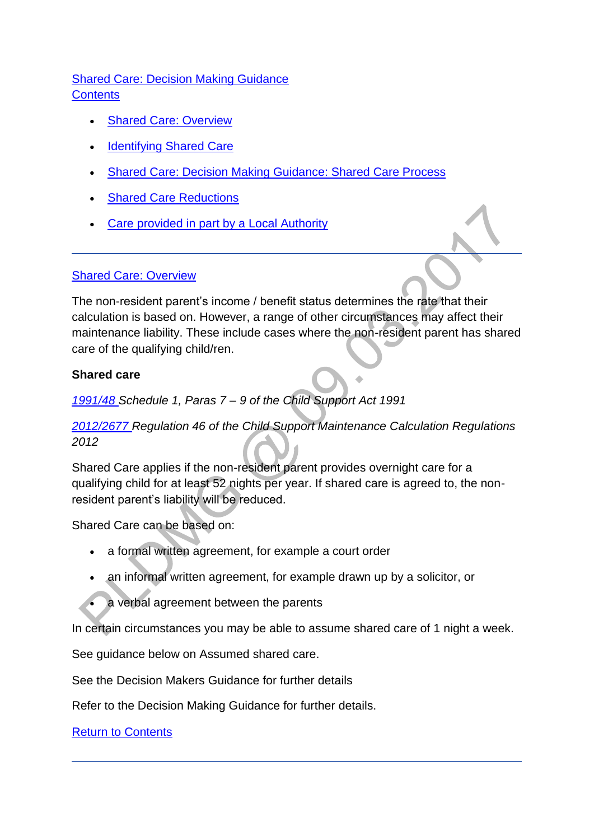## [Shared Care: Decision Making Guidance](http://np-cmg-sharepoint.link2.gpn.gov.uk/sites/policy-law-and-decision-making-guidance/Pages/Calculations/Other%20Factors/Shared-Care.aspx) **Contents**

- [Shared Care: Overview](http://np-cmg-sharepoint.link2.gpn.gov.uk/sites/policy-law-and-decision-making-guidance/Pages/Calculations/Other%20Factors/Shared-Care.aspx#sharedcareDMG)
- Identifying Shared Care
- [Shared Care: Decision Making Guidance: Shared Care Process](http://np-cmg-sharepoint.link2.gpn.gov.uk/sites/policy-law-and-decision-making-guidance/Pages/Calculations/Other%20Factors/Shared-Care.aspx#DMG)
- [Shared Care Reductions](http://np-cmg-sharepoint.link2.gpn.gov.uk/sites/policy-law-and-decision-making-guidance/Pages/Calculations/Other%20Factors/Shared-Care.aspx#sharedcarereductions)
- [Care provided in part by a Local Authority](http://np-cmg-sharepoint.link2.gpn.gov.uk/sites/policy-law-and-decision-making-guidance/Pages/Calculations/Other%20Factors/Shared-Care.aspx#PartCareLA)

#### [Shared Care: Overview](http://np-cmg-sharepoint.link2.gpn.gov.uk/sites/policy-law-and-decision-making-guidance/Pages/Calculations/Other%20Factors/Shared-Care.aspx)

The non-resident parent's income / benefit status determines the rate that their calculation is based on. However, a range of other circumstances may affect their maintenance liability. These include cases where the non-resident parent has shared care of the qualifying child/ren.

#### **Shared care**

#### *[1991/48 S](http://www.legislation.gov.uk/ukpga/1991/48)chedule 1, Paras 7 – 9 of the Child Support Act 1991*

*[2012/2677 R](http://www.legislation.gov.uk/uksi/2012/2677)egulation 46 of the Child Support Maintenance Calculation Regulations 2012* 

Shared Care applies if the non-resident parent provides overnight care for a qualifying child for at least 52 nights per year. If shared care is agreed to, the nonresident parent's liability will be reduced.

Shared Care can be based on:

- a formal written agreement, for example a court order
- an informal written agreement, for example drawn up by a solicitor, or
	- a verbal agreement between the parents

In certain circumstances you may be able to assume shared care of 1 night a week.

See guidance below on Assumed shared care.

See the Decision Makers Guidance for further details

Refer to the Decision Making Guidance for further details.

[Return to Contents](http://np-cmg-sharepoint.link2.gpn.gov.uk/sites/policy-law-and-decision-making-guidance/Pages/Calculations/Other%20Factors/Shared-Care.aspx#OverviewContents)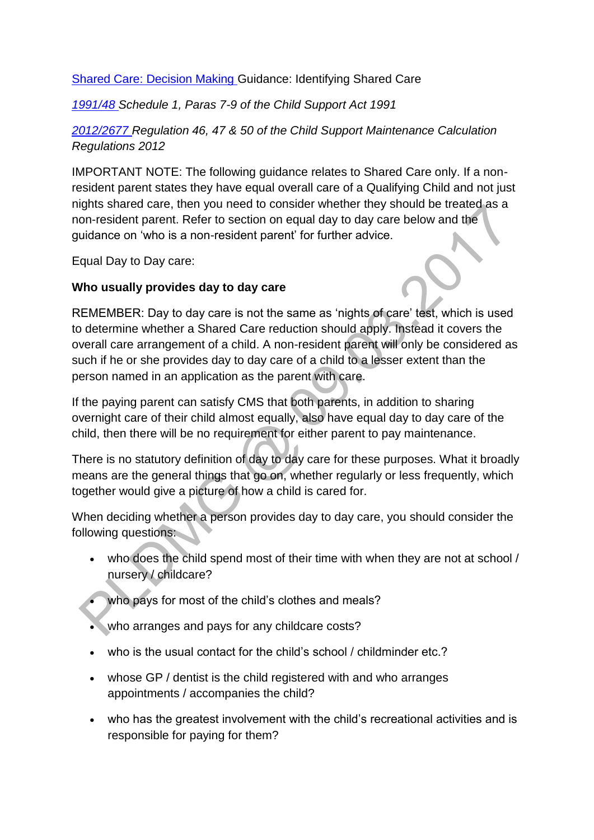#### [Shared Care: Decision Making G](http://np-cmg-sharepoint.link2.gpn.gov.uk/sites/policy-law-and-decision-making-guidance/Pages/Calculations/Other%20Factors/Shared-Care.aspx)uidance: Identifying Shared Care

*[1991/48 S](http://www.legislation.gov.uk/ukpga/1991/48)chedule 1, Paras 7-9 of the Child Support Act 1991*

*[2012/2677 R](http://www.legislation.gov.uk/uksi/2012/2677)egulation 46, 47 & 50 of the Child Support Maintenance Calculation Regulations 2012* 

IMPORTANT NOTE: The following guidance relates to Shared Care only. If a nonresident parent states they have equal overall care of a Qualifying Child and not just nights shared care, then you need to consider whether they should be treated as a non-resident parent. Refer to section on equal day to day care below and the guidance on 'who is a non-resident parent' for further advice.

Equal Day to Day care:

#### **Who usually provides day to day care**

REMEMBER: Day to day care is not the same as 'nights of care' test, which is used to determine whether a Shared Care reduction should apply. Instead it covers the overall care arrangement of a child. A non-resident parent will only be considered as such if he or she provides day to day care of a child to a lesser extent than the person named in an application as the parent with care.

If the paying parent can satisfy CMS that both parents, in addition to sharing overnight care of their child almost equally, also have equal day to day care of the child, then there will be no requirement for either parent to pay maintenance.

There is no statutory definition of day to day care for these purposes. What it broadly means are the general things that go on, whether regularly or less frequently, which together would give a picture of how a child is cared for.

When deciding whether a person provides day to day care, you should consider the following questions:

- who does the child spend most of their time with when they are not at school / nursery / childcare?
	- who pays for most of the child's clothes and meals?
- who arranges and pays for any childcare costs?
- who is the usual contact for the child's school / childminder etc.?
- whose GP / dentist is the child registered with and who arranges appointments / accompanies the child?
- who has the greatest involvement with the child's recreational activities and is responsible for paying for them?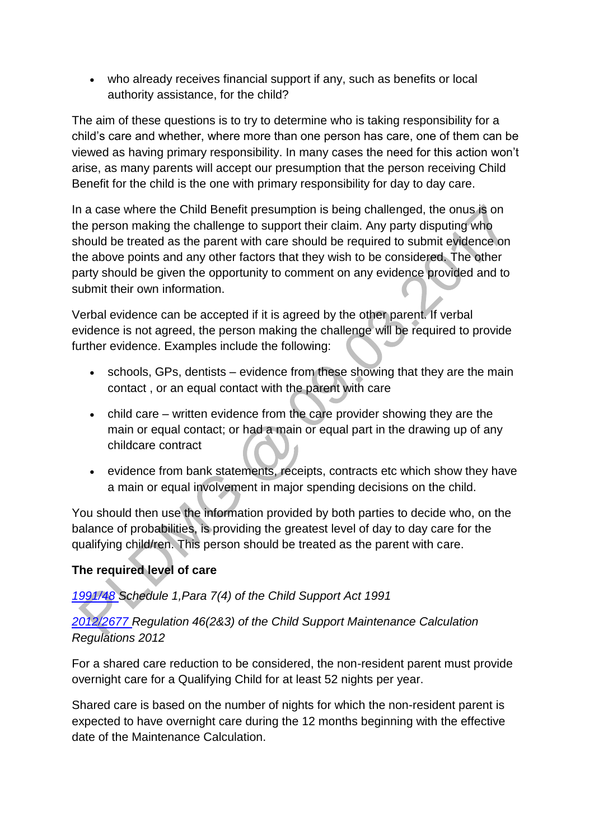who already receives financial support if any, such as benefits or local authority assistance, for the child?

The aim of these questions is to try to determine who is taking responsibility for a child's care and whether, where more than one person has care, one of them can be viewed as having primary responsibility. In many cases the need for this action won't arise, as many parents will accept our presumption that the person receiving Child Benefit for the child is the one with primary responsibility for day to day care.

In a case where the Child Benefit presumption is being challenged, the onus is on the person making the challenge to support their claim. Any party disputing who should be treated as the parent with care should be required to submit evidence on the above points and any other factors that they wish to be considered. The other party should be given the opportunity to comment on any evidence provided and to submit their own information.

Verbal evidence can be accepted if it is agreed by the other parent. If verbal evidence is not agreed, the person making the challenge will be required to provide further evidence. Examples include the following:

- schools, GPs, dentists evidence from these showing that they are the main contact , or an equal contact with the parent with care
- child care written evidence from the care provider showing they are the main or equal contact; or had a main or equal part in the drawing up of any childcare contract
- evidence from bank statements, receipts, contracts etc which show they have a main or equal involvement in major spending decisions on the child.

You should then use the information provided by both parties to decide who, on the balance of probabilities, is providing the greatest level of day to day care for the qualifying child/ren. This person should be treated as the parent with care.

## **The required level of care**

## *[1991/48 S](http://www.legislation.gov.uk/ukpga/1991/48)chedule 1,Para 7(4) of the Child Support Act 1991*

## *[2012/2677 R](http://www.legislation.gov.uk/uksi/2012/2677)egulation 46(2&3) of the Child Support Maintenance Calculation Regulations 2012*

For a shared care reduction to be considered, the non-resident parent must provide overnight care for a Qualifying Child for at least 52 nights per year.

Shared care is based on the number of nights for which the non-resident parent is expected to have overnight care during the 12 months beginning with the effective date of the Maintenance Calculation.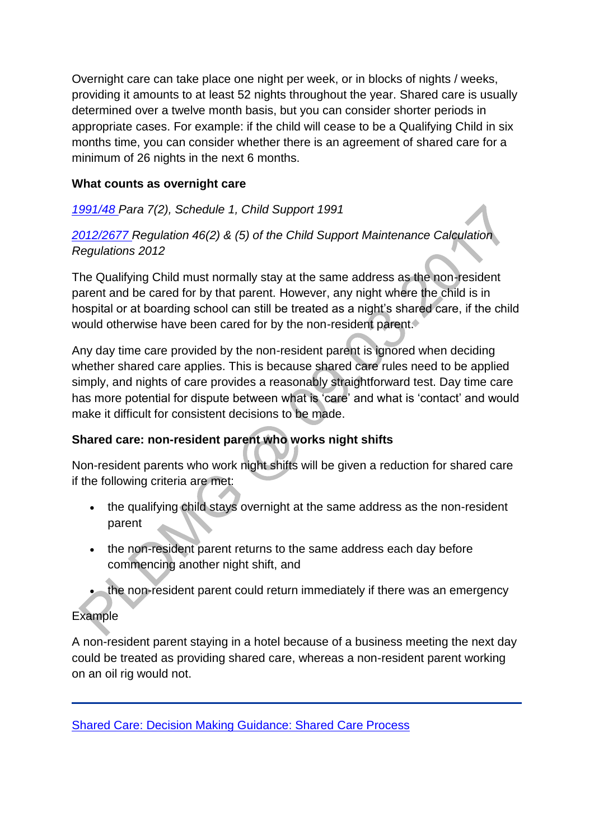Overnight care can take place one night per week, or in blocks of nights / weeks, providing it amounts to at least 52 nights throughout the year. Shared care is usually determined over a twelve month basis, but you can consider shorter periods in appropriate cases. For example: if the child will cease to be a Qualifying Child in six months time, you can consider whether there is an agreement of shared care for a minimum of 26 nights in the next 6 months.

#### **What counts as overnight care**

## *[1991/48 P](http://www.legislation.gov.uk/ukpga/1991/48)ara 7(2), Schedule 1, Child Support 1991*

*[2012/2677 R](http://www.legislation.gov.uk/uksi/2012/2677)egulation 46(2) & (5) of the Child Support Maintenance Calculation Regulations 2012* 

The Qualifying Child must normally stay at the same address as the non-resident parent and be cared for by that parent. However, any night where the child is in hospital or at boarding school can still be treated as a night's shared care, if the child would otherwise have been cared for by the non-resident parent.

Any day time care provided by the non-resident parent is ignored when deciding whether shared care applies. This is because shared care rules need to be applied simply, and nights of care provides a reasonably straightforward test. Day time care has more potential for dispute between what is 'care' and what is 'contact' and would make it difficult for consistent decisions to be made.

## **Shared care: non-resident parent who works night shifts**

Non-resident parents who work night shifts will be given a reduction for shared care if the following criteria are met:

- the qualifying child stays overnight at the same address as the non-resident parent
- the non-resident parent returns to the same address each day before commencing another night shift, and
- the non-resident parent could return immediately if there was an emergency

## Example

A non-resident parent staying in a hotel because of a business meeting the next day could be treated as providing shared care, whereas a non-resident parent working on an oil rig would not.

[Shared Care: Decision Making Guidance: Shared Care Process](http://np-cmg-sharepoint.link2.gpn.gov.uk/sites/policy-law-and-decision-making-guidance/Pages/Calculations/Other%20Factors/)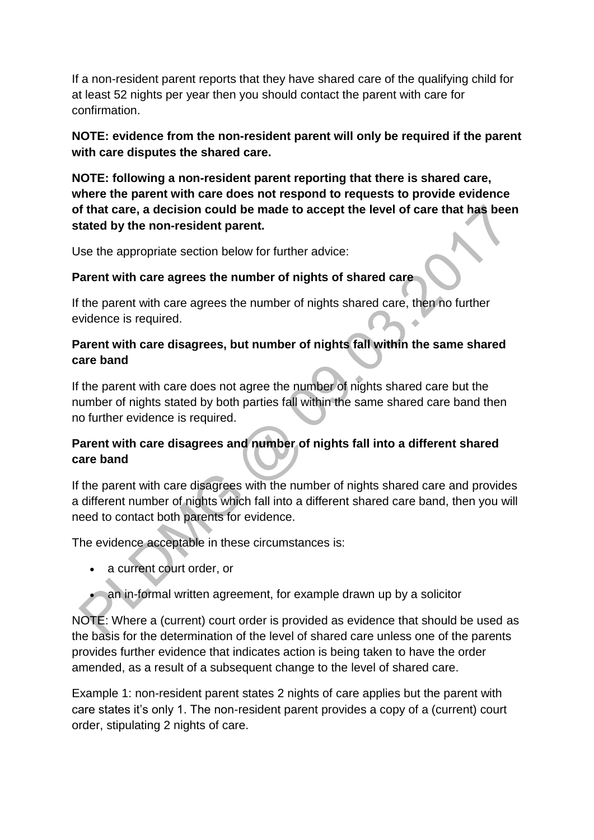If a non-resident parent reports that they have shared care of the qualifying child for at least 52 nights per year then you should contact the parent with care for confirmation.

#### **NOTE: evidence from the non-resident parent will only be required if the parent with care disputes the shared care.**

**NOTE: following a non-resident parent reporting that there is shared care, where the parent with care does not respond to requests to provide evidence of that care, a decision could be made to accept the level of care that has been stated by the non-resident parent.**

Use the appropriate section below for further advice:

#### **Parent with care agrees the number of nights of shared care**

If the parent with care agrees the number of nights shared care, then no further evidence is required. a.

#### **Parent with care disagrees, but number of nights fall within the same shared care band**

If the parent with care does not agree the number of nights shared care but the number of nights stated by both parties fall within the same shared care band then no further evidence is required.

#### **Parent with care disagrees and number of nights fall into a different shared care band**

If the parent with care disagrees with the number of nights shared care and provides a different number of nights which fall into a different shared care band, then you will need to contact both parents for evidence.

The evidence acceptable in these circumstances is:

- a current court order, or
- an in-formal written agreement, for example drawn up by a solicitor

NOTE: Where a (current) court order is provided as evidence that should be used as the basis for the determination of the level of shared care unless one of the parents provides further evidence that indicates action is being taken to have the order amended, as a result of a subsequent change to the level of shared care.

Example 1: non-resident parent states 2 nights of care applies but the parent with care states it's only 1. The non-resident parent provides a copy of a (current) court order, stipulating 2 nights of care.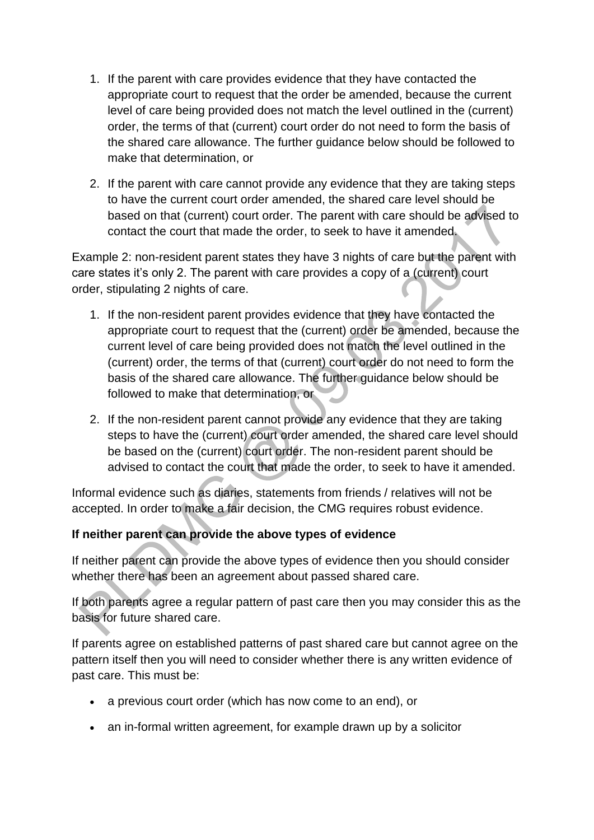- 1. If the parent with care provides evidence that they have contacted the appropriate court to request that the order be amended, because the current level of care being provided does not match the level outlined in the (current) order, the terms of that (current) court order do not need to form the basis of the shared care allowance. The further guidance below should be followed to make that determination, or
- 2. If the parent with care cannot provide any evidence that they are taking steps to have the current court order amended, the shared care level should be based on that (current) court order. The parent with care should be advised to contact the court that made the order, to seek to have it amended.

Example 2: non-resident parent states they have 3 nights of care but the parent with care states it's only 2. The parent with care provides a copy of a (current) court order, stipulating 2 nights of care.

- 1. If the non-resident parent provides evidence that they have contacted the appropriate court to request that the (current) order be amended, because the current level of care being provided does not match the level outlined in the (current) order, the terms of that (current) court order do not need to form the basis of the shared care allowance. The further guidance below should be followed to make that determination, or
- 2. If the non-resident parent cannot provide any evidence that they are taking steps to have the (current) court order amended, the shared care level should be based on the (current) court order. The non-resident parent should be advised to contact the court that made the order, to seek to have it amended.

Informal evidence such as diaries, statements from friends / relatives will not be accepted. In order to make a fair decision, the CMG requires robust evidence.

## **If neither parent can provide the above types of evidence**

If neither parent can provide the above types of evidence then you should consider whether there has been an agreement about passed shared care.

If both parents agree a regular pattern of past care then you may consider this as the basis for future shared care.

If parents agree on established patterns of past shared care but cannot agree on the pattern itself then you will need to consider whether there is any written evidence of past care. This must be:

- a previous court order (which has now come to an end), or
- an in-formal written agreement, for example drawn up by a solicitor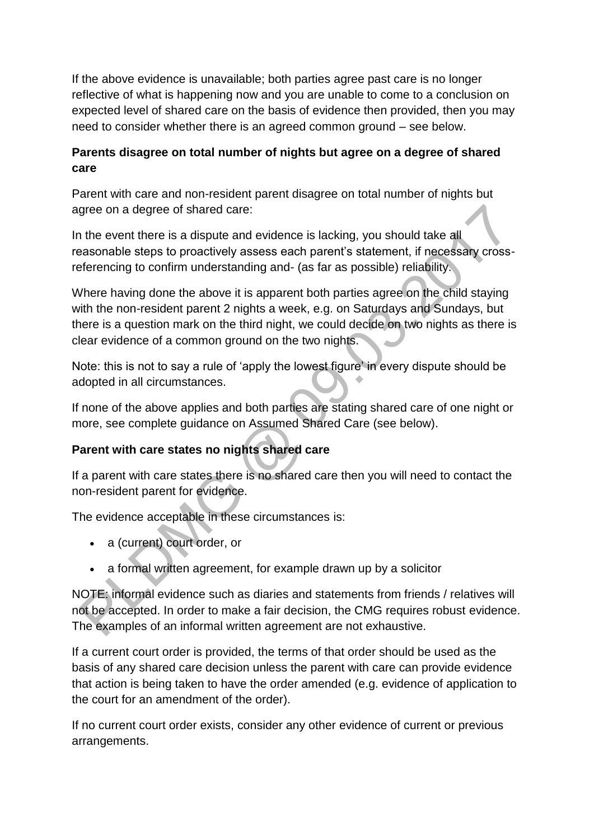If the above evidence is unavailable; both parties agree past care is no longer reflective of what is happening now and you are unable to come to a conclusion on expected level of shared care on the basis of evidence then provided, then you may need to consider whether there is an agreed common ground – see below.

## **Parents disagree on total number of nights but agree on a degree of shared care**

Parent with care and non-resident parent disagree on total number of nights but agree on a degree of shared care:

In the event there is a dispute and evidence is lacking, you should take all reasonable steps to proactively assess each parent's statement, if necessary crossreferencing to confirm understanding and- (as far as possible) reliability.

Where having done the above it is apparent both parties agree on the child staying with the non-resident parent 2 nights a week, e.g. on Saturdays and Sundays, but there is a question mark on the third night, we could decide on two nights as there is clear evidence of a common ground on the two nights.

Note: this is not to say a rule of 'apply the lowest figure' in every dispute should be adopted in all circumstances.

If none of the above applies and both parties are stating shared care of one night or more, see complete guidance on Assumed Shared Care (see below).

# **Parent with care states no nights shared care**

If a parent with care states there is no shared care then you will need to contact the non-resident parent for evidence.

The evidence acceptable in these circumstances is:

- a (current) court order, or
- a formal written agreement, for example drawn up by a solicitor

NOTE: informal evidence such as diaries and statements from friends / relatives will not be accepted. In order to make a fair decision, the CMG requires robust evidence. The examples of an informal written agreement are not exhaustive.

If a current court order is provided, the terms of that order should be used as the basis of any shared care decision unless the parent with care can provide evidence that action is being taken to have the order amended (e.g. evidence of application to the court for an amendment of the order).

If no current court order exists, consider any other evidence of current or previous arrangements.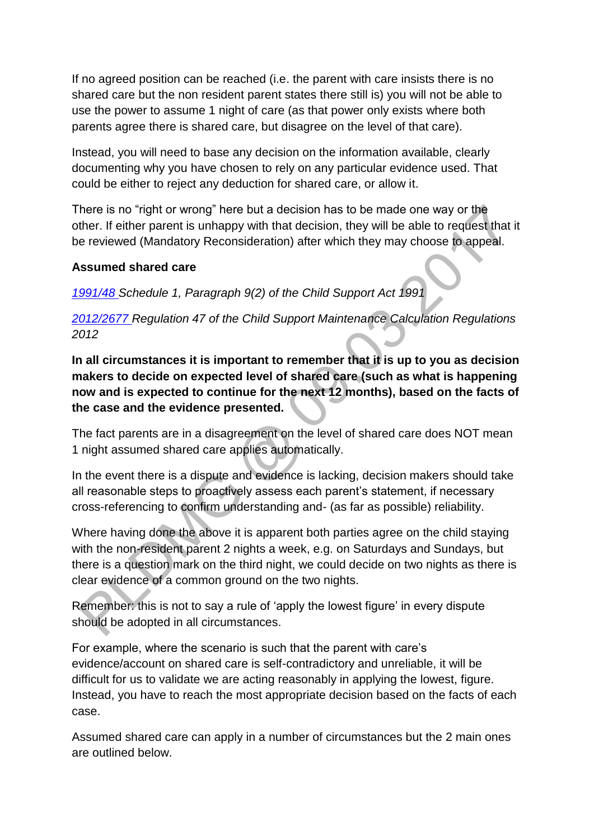If no agreed position can be reached (i.e. the parent with care insists there is no shared care but the non resident parent states there still is) you will not be able to use the power to assume 1 night of care (as that power only exists where both parents agree there is shared care, but disagree on the level of that care).

Instead, you will need to base any decision on the information available, clearly documenting why you have chosen to rely on any particular evidence used. That could be either to reject any deduction for shared care, or allow it.

There is no "right or wrong" here but a decision has to be made one way or the other. If either parent is unhappy with that decision, they will be able to request that it be reviewed (Mandatory Reconsideration) after which they may choose to appeal.

#### **Assumed shared care**

*[1991/48 S](http://www.legislation.gov.uk/ukpga/1991/48)chedule 1, Paragraph 9(2) of the Child Support Act 1991*

*[2012/2677 R](http://www.legislation.gov.uk/uksi/2012/2677)egulation 47 of the Child Support Maintenance Calculation Regulations 2012*

**In all circumstances it is important to remember that it is up to you as decision makers to decide on expected level of shared care (such as what is happening now and is expected to continue for the next 12 months), based on the facts of the case and the evidence presented.** 

The fact parents are in a disagreement on the level of shared care does NOT mean 1 night assumed shared care applies automatically.

In the event there is a dispute and evidence is lacking, decision makers should take all reasonable steps to proactively assess each parent's statement, if necessary cross-referencing to confirm understanding and- (as far as possible) reliability.

Where having done the above it is apparent both parties agree on the child staying with the non-resident parent 2 nights a week, e.g. on Saturdays and Sundays, but there is a question mark on the third night, we could decide on two nights as there is clear evidence of a common ground on the two nights.

Remember: this is not to say a rule of 'apply the lowest figure' in every dispute should be adopted in all circumstances.

For example, where the scenario is such that the parent with care's evidence/account on shared care is self-contradictory and unreliable, it will be difficult for us to validate we are acting reasonably in applying the lowest, figure. Instead, you have to reach the most appropriate decision based on the facts of each case.

Assumed shared care can apply in a number of circumstances but the 2 main ones are outlined below.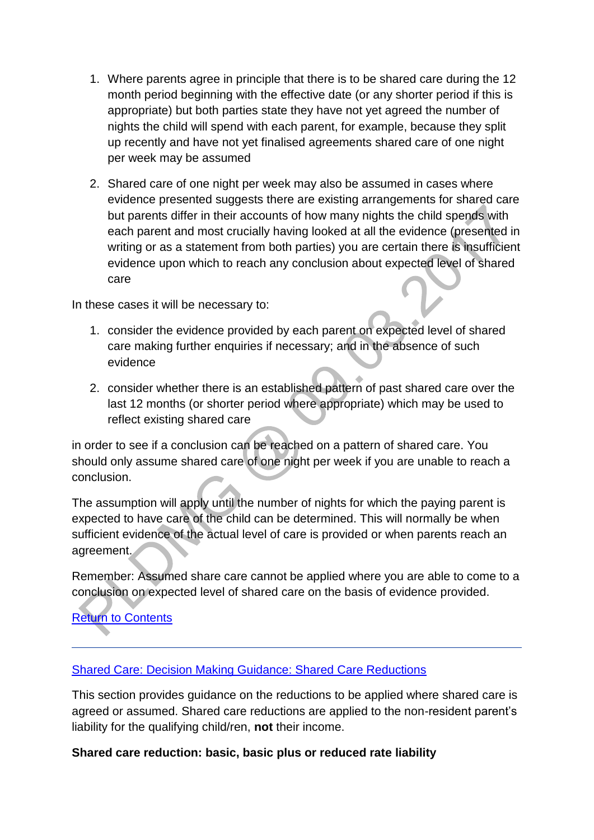- 1. Where parents agree in principle that there is to be shared care during the 12 month period beginning with the effective date (or any shorter period if this is appropriate) but both parties state they have not yet agreed the number of nights the child will spend with each parent, for example, because they split up recently and have not yet finalised agreements shared care of one night per week may be assumed
- 2. Shared care of one night per week may also be assumed in cases where evidence presented suggests there are existing arrangements for shared care but parents differ in their accounts of how many nights the child spends with each parent and most crucially having looked at all the evidence (presented in writing or as a statement from both parties) you are certain there is insufficient evidence upon which to reach any conclusion about expected level of shared care

In these cases it will be necessary to:

- 1. consider the evidence provided by each parent on expected level of shared care making further enquiries if necessary; and in the absence of such evidence
- 2. consider whether there is an established pattern of past shared care over the last 12 months (or shorter period where appropriate) which may be used to reflect existing shared care

in order to see if a conclusion can be reached on a pattern of shared care. You should only assume shared care of one night per week if you are unable to reach a conclusion.

The assumption will apply until the number of nights for which the paying parent is expected to have care of the child can be determined. This will normally be when sufficient evidence of the actual level of care is provided or when parents reach an agreement.

Remember: Assumed share care cannot be applied where you are able to come to a conclusion on expected level of shared care on the basis of evidence provided.

# [Return to](http://np-cmg-sharepoint.link2.gpn.gov.uk/sites/policy-law-and-decision-making-guidance/Pages/Calculations/Other%20Factors/Shared-Care.aspx#OverviewContents) Contents

#### [Shared Care: Decision Making Guidance: Shared Care Reductions](http://np-cmg-sharepoint.link2.gpn.gov.uk/sites/policy-law-and-decision-making-guidance/Pages/Calculations/Other%20Factors/Shared-Care.aspx)

This section provides guidance on the reductions to be applied where shared care is agreed or assumed. Shared care reductions are applied to the non-resident parent's liability for the qualifying child/ren, **not** their income.

#### **Shared care reduction: basic, basic plus or reduced rate liability**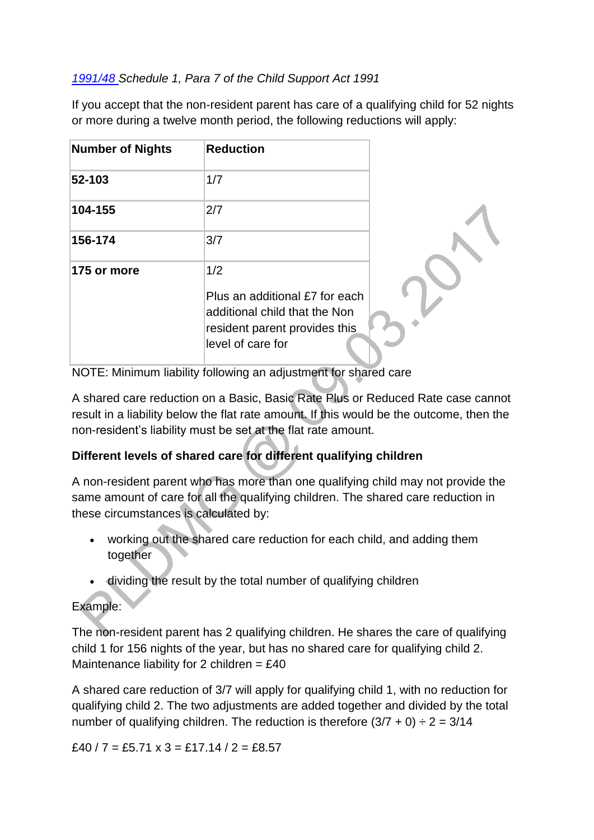## *[1991/48 S](http://www.legislation.gov.uk/ukpga/1991/48)chedule 1, Para 7 of the Child Support Act 1991*

If you accept that the non-resident parent has care of a qualifying child for 52 nights or more during a twelve month period, the following reductions will apply:

| <b>Number of Nights</b> | <b>Reduction</b>                                                                                                             |  |
|-------------------------|------------------------------------------------------------------------------------------------------------------------------|--|
| 52-103                  | 1/7                                                                                                                          |  |
| 104-155                 | 2/7                                                                                                                          |  |
| 156-174                 | 3/7                                                                                                                          |  |
| 175 or more             | 1/2<br>Plus an additional £7 for each<br>additional child that the Non<br>resident parent provides this<br>level of care for |  |

NOTE: Minimum liability following an adjustment for shared care

A shared care reduction on a Basic, Basic Rate Plus or Reduced Rate case cannot result in a liability below the flat rate amount. If this would be the outcome, then the non-resident's liability must be set at the flat rate amount.

# **Different levels of shared care for different qualifying children**

A non-resident parent who has more than one qualifying child may not provide the same amount of care for all the qualifying children. The shared care reduction in these circumstances is calculated by:

- working out the shared care reduction for each child, and adding them together
- dividing the result by the total number of qualifying children

# Example:

The non-resident parent has 2 qualifying children. He shares the care of qualifying child 1 for 156 nights of the year, but has no shared care for qualifying child 2. Maintenance liability for 2 children  $=$  £40

A shared care reduction of 3/7 will apply for qualifying child 1, with no reduction for qualifying child 2. The two adjustments are added together and divided by the total number of qualifying children. The reduction is therefore  $(3/7 + 0) \div 2 = 3/14$ 

 $£40 / 7 = £5.71 \times 3 = £17.14 / 2 = £8.57$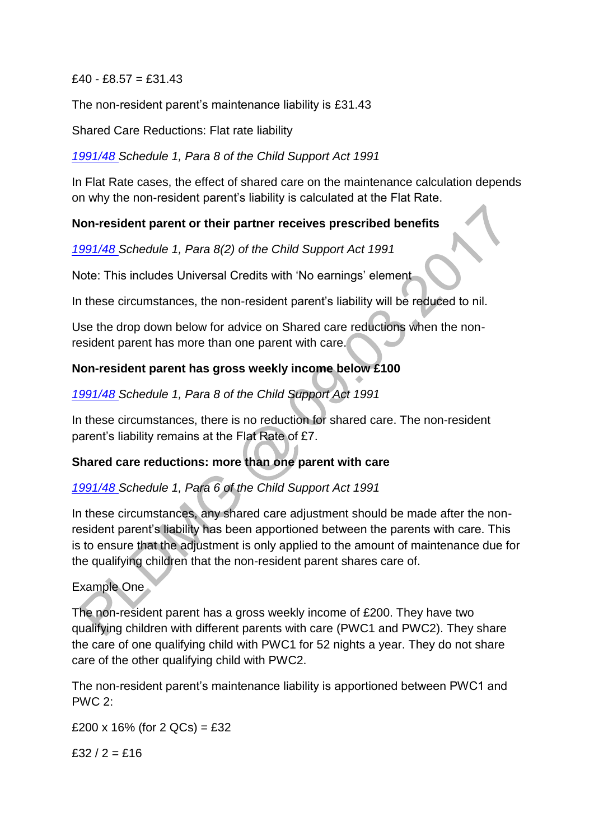$£40 - £8.57 = £31.43$ 

The non-resident parent's maintenance liability is £31.43

Shared Care Reductions: Flat rate liability

*[1991/48 S](http://www.legislation.gov.uk/ukpga/1991/48)chedule 1, Para 8 of the Child Support Act 1991* 

In Flat Rate cases, the effect of shared care on the maintenance calculation depends on why the non-resident parent's liability is calculated at the Flat Rate.

## **Non-resident parent or their partner receives prescribed benefits**

*[1991/48 S](http://www.legislation.gov.uk/ukpga/1991/48)chedule 1, Para 8(2) of the Child Support Act 1991* 

Note: This includes Universal Credits with 'No earnings' element

In these circumstances, the non-resident parent's liability will be reduced to nil.

Use the drop down below for advice on Shared care reductions when the nonresident parent has more than one parent with care.

## **Non-resident parent has gross weekly income below £100**

*[1991/48 S](http://www.legislation.gov.uk/ukpga/1991/48)chedule 1, Para 8 of the Child Support Act 1991*

In these circumstances, there is no reduction for shared care. The non-resident parent's liability remains at the Flat Rate of £7.

## **Shared care reductions: more than one parent with care**

# *[1991/48 S](http://www.legislation.gov.uk/ukpga/1991/48)chedule 1, Para 6 of the Child Support Act 1991*

In these circumstances, any shared care adjustment should be made after the nonresident parent's liability has been apportioned between the parents with care. This is to ensure that the adjustment is only applied to the amount of maintenance due for the qualifying children that the non-resident parent shares care of.

## Example One

The non-resident parent has a gross weekly income of £200. They have two qualifying children with different parents with care (PWC1 and PWC2). They share the care of one qualifying child with PWC1 for 52 nights a year. They do not share care of the other qualifying child with PWC2.

The non-resident parent's maintenance liability is apportioned between PWC1 and PWC 2:

£200 x 16% (for 2 QCs) = £32

 $f32/2 = f16$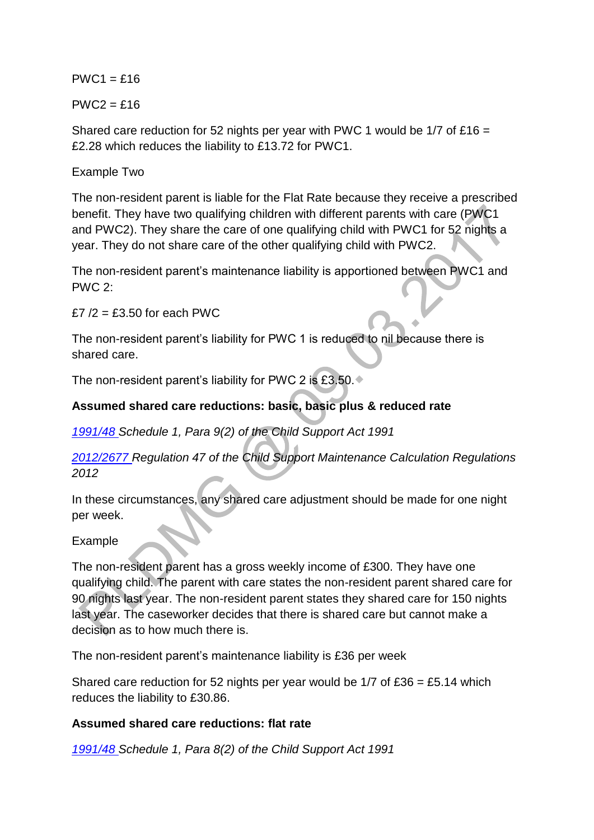$PWC1 = £16$ 

 $PWC2 = £16$ 

Shared care reduction for 52 nights per year with PWC 1 would be  $1/7$  of £16 = £2.28 which reduces the liability to £13.72 for PWC1.

#### Example Two

The non-resident parent is liable for the Flat Rate because they receive a prescribed benefit. They have two qualifying children with different parents with care (PWC1 and PWC2). They share the care of one qualifying child with PWC1 for 52 nights a year. They do not share care of the other qualifying child with PWC2.

The non-resident parent's maintenance liability is apportioned between PWC1 and PWC 2:

 $f7/2 = f3.50$  for each PWC

The non-resident parent's liability for PWC 1 is reduced to nil because there is shared care.

The non-resident parent's liability for PWC 2 is £3.50.

## **Assumed shared care reductions: basic, basic plus & reduced rate**

*[1991/48 S](http://www.legislation.gov.uk/ukpga/1991/48)chedule 1, Para 9(2) of the Child Support Act 1991*

*[2012/2677 R](http://www.legislation.gov.uk/uksi/2012/2677)egulation 47 of the Child Support Maintenance Calculation Regulations 2012*

In these circumstances, any shared care adjustment should be made for one night per week.

#### Example

The non-resident parent has a gross weekly income of £300. They have one qualifying child. The parent with care states the non-resident parent shared care for 90 nights last year. The non-resident parent states they shared care for 150 nights last year. The caseworker decides that there is shared care but cannot make a decision as to how much there is.

The non-resident parent's maintenance liability is £36 per week

Shared care reduction for 52 nights per year would be  $1/7$  of £36 = £5.14 which reduces the liability to £30.86.

#### **Assumed shared care reductions: flat rate**

*[1991/48 S](http://www.legislation.gov.uk/ukpga/1991/48)chedule 1, Para 8(2) of the Child Support Act 1991*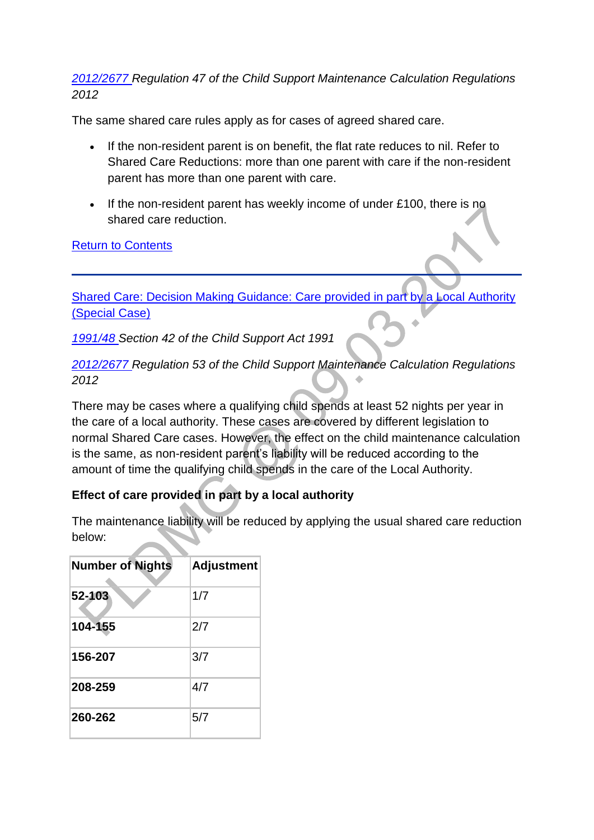#### *[2012/2677 R](http://www.legislation.gov.uk/uksi/2012/2677)egulation 47 of the Child Support Maintenance Calculation Regulations 2012*

The same shared care rules apply as for cases of agreed shared care.

- If the non-resident parent is on benefit, the flat rate reduces to nil. Refer to Shared Care Reductions: more than one parent with care if the non-resident parent has more than one parent with care.
- If the non-resident parent has weekly income of under £100, there is no shared care reduction.

#### [Return to Contents](http://np-cmg-sharepoint.link2.gpn.gov.uk/sites/policy-law-and-decision-making-guidance/Pages/Calculations/Other%20Factors/Shared-Care.aspx#OverviewContents)

[Shared Care: Decision Making Guidance: Care provided in part by a Local Authority](http://np-cmg-sharepoint.link2.gpn.gov.uk/sites/policy-law-and-decision-making-guidance/Pages/Calculations/Other%20Factors/Shared-Care.aspx)  [\(Special Case\)](http://np-cmg-sharepoint.link2.gpn.gov.uk/sites/policy-law-and-decision-making-guidance/Pages/Calculations/Other%20Factors/Shared-Care.aspx)

*[1991/48 S](http://www.legislation.gov.uk/ukpga/1991/48)ection 42 of the Child Support Act 1991*

*[2012/2677 R](http://www.legislation.gov.uk/uksi/2012/2677)egulation 53 of the Child Support Maintenance Calculation Regulations 2012*

There may be cases where a qualifying child spends at least 52 nights per year in the care of a local authority. These cases are covered by different legislation to normal Shared Care cases. However, the effect on the child maintenance calculation is the same, as non-resident parent's liability will be reduced according to the amount of time the qualifying child spends in the care of the Local Authority.

## **Effect of care provided in part by a local authority**

The maintenance liability will be reduced by applying the usual shared care reduction below:

| <b>Number of Nights</b> | <b>Adjustment</b> |
|-------------------------|-------------------|
| 52-103                  | 1/7               |
| 104-155                 | 2/7               |
| 156-207                 | 3/7               |
| 208-259                 | 4/7               |
| 260-262                 | 5/7               |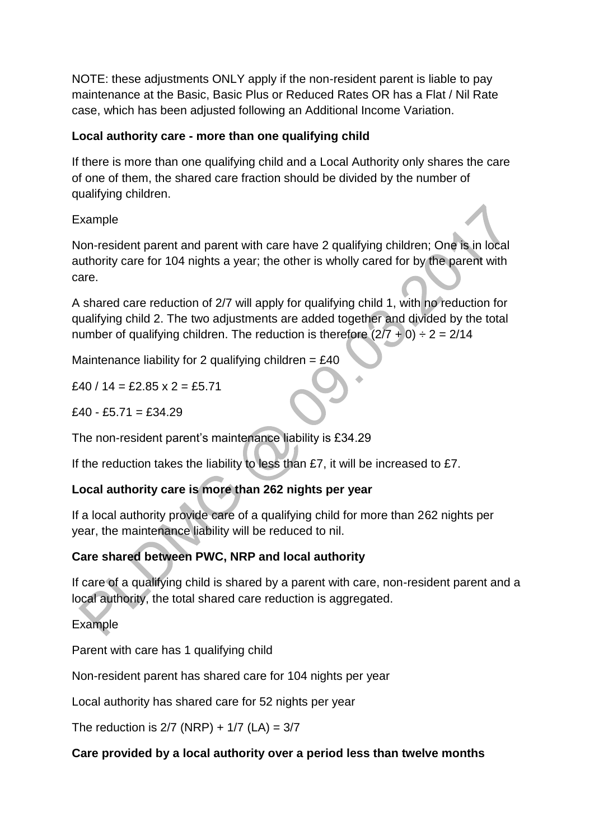NOTE: these adjustments ONLY apply if the non-resident parent is liable to pay maintenance at the Basic, Basic Plus or Reduced Rates OR has a Flat / Nil Rate case, which has been adjusted following an Additional Income Variation.

## **Local authority care - more than one qualifying child**

If there is more than one qualifying child and a Local Authority only shares the care of one of them, the shared care fraction should be divided by the number of qualifying children.

## Example

Non-resident parent and parent with care have 2 qualifying children; One is in local authority care for 104 nights a year; the other is wholly cared for by the parent with care.

A shared care reduction of 2/7 will apply for qualifying child 1, with no reduction for qualifying child 2. The two adjustments are added together and divided by the total number of qualifying children. The reduction is therefore  $(2/7 + 0) \div 2 = 2/14$ 

Maintenance liability for 2 qualifying children =  $£40$ 

£40 / 14 = £2.85  $x$  2 = £5.71

 $f40 - f5.71 = f34.29$ 

The non-resident parent's maintenance liability is £34.29

If the reduction takes the liability to less than £7, it will be increased to £7.

# **Local authority care is more than 262 nights per year**

If a local authority provide care of a qualifying child for more than 262 nights per year, the maintenance liability will be reduced to nil.

# **Care shared between PWC, NRP and local authority**

If care of a qualifying child is shared by a parent with care, non-resident parent and a local authority, the total shared care reduction is aggregated.

Example

Parent with care has 1 qualifying child

Non-resident parent has shared care for 104 nights per year

Local authority has shared care for 52 nights per year

The reduction is  $2/7$  (NRP) +  $1/7$  (LA) =  $3/7$ 

## **Care provided by a local authority over a period less than twelve months**